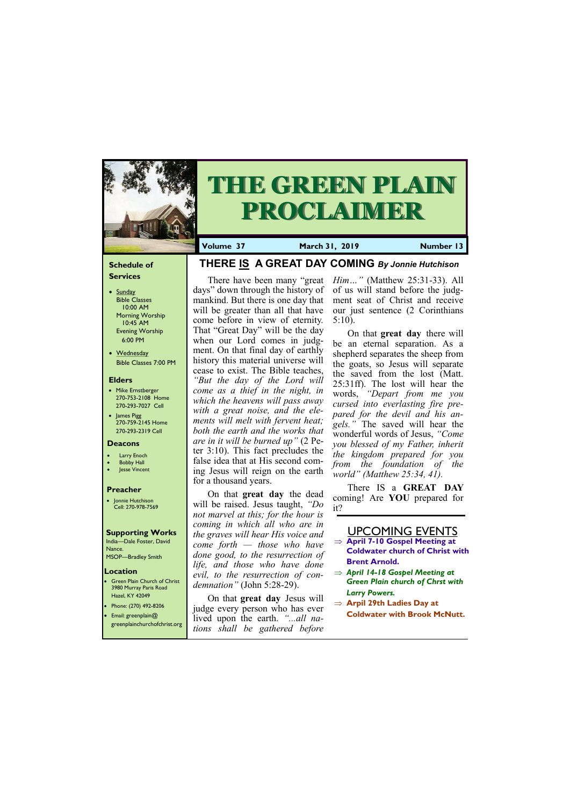#### **Schedule of Services**

- Sunday Bible Classes 10:00 AM Morning Worship 10:45 AM Evening Worship 6:00 PM
- Wednesday Bible Classes 7:00 PM

#### **Elders**

- **Green Plain Church of Christ** 3980 Murray Paris Road Hazel, KY 42049 • Phone: (270) 492-8206
	-
- Mike Ernstberger 270-753-2108 Home 270-293-7027 Cell
- James Pigg 270-759-2145 Home 270-293-2319 Cell



# **THE GREEN PLAIN PROCLAIMER**

#### **Location**

• Email: greenplain@ greenplainchurchofchrist.org **Volume 37 March 31, 2019 Number 13**

#### **Deacons**

- **Larry Enoch**
- **Bobby Hall**
- **Jesse Vincent**

#### **Preacher**

• Jonnie Hutchison Cell: 270-978-7569

## **Supporting Works**

India—Dale Foster, David Nance. MSOP—Bradley Smith

# **THERE IS A GREAT DAY COMING** *By Jonnie Hutchison*

days" down through the history of mankind. But there is one day that will be greater than all that have come before in view of eternity. That "Great Day" will be the day when our Lord comes in judgment. On that final day of earthly history this material universe will cease to exist. The Bible teaches, *"But the day of the Lord will come as a thief in the night, in which the heavens will pass away with a great noise, and the elements will melt with fervent heat; both the earth and the works that are in it will be burned up"* (2 Peter 3:10). This fact precludes the false idea that at His second coming Jesus will reign on the earth for a thousand years.

There have been many "great *Him…"* (Matthew 25:31-33). All of us will stand before the judgment seat of Christ and receive our just sentence (2 Corinthians 5:10).

On that **great day** the dead will be raised. Jesus taught, *"Do not marvel at this; for the hour is coming in which all who are in the graves will hear His voice and come forth — those who have done good, to the resurrection of life, and those who have done evil, to the resurrection of condemnation"* (John 5:28-29).

On that **great day** Jesus will judge every person who has ever lived upon the earth. *"...all nations shall be gathered before* 

On that **great day** there will be an eternal separation. As a shepherd separates the sheep from the goats, so Jesus will separate the saved from the lost (Matt. 25:31ff). The lost will hear the words, *"Depart from me you cursed into everlasting fire prepared for the devil and his angels."* The saved will hear the wonderful words of Jesus, *"Come you blessed of my Father, inherit the kingdom prepared for you from the foundation of the world" (Matthew 25:34, 41).*

There IS a **GREAT DAY**  coming! Are **YOU** prepared for it?

# UPCOMING EVENTS

- **April 7-10 Gospel Meeting at Coldwater church of Christ with Brent Arnold.**
- *April 14-18 Gospel Meeting at Green Plain church of Chrst with Larry Powers.*
- **Arpil 29th Ladies Day at**

**Coldwater with Brook McNutt.**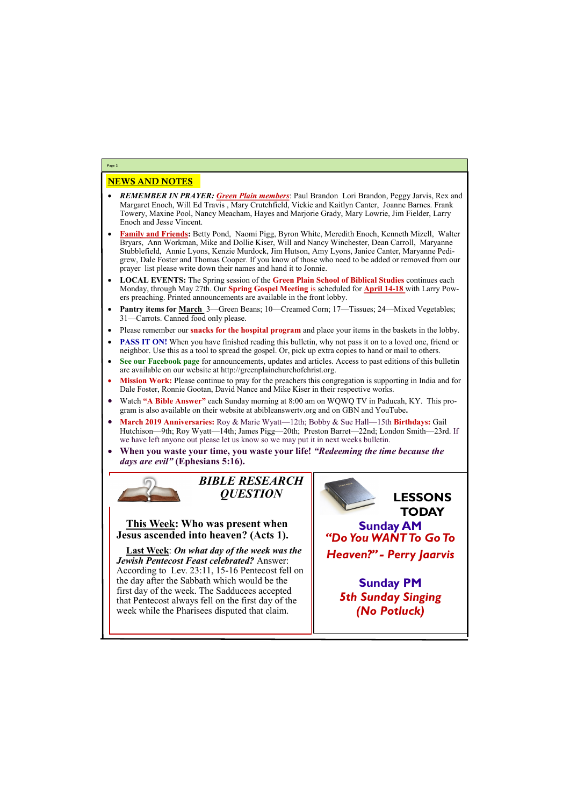# NEWS AND NOTES

- *REMEMBER IN PRAYER: Green Plain members*: Paul Brandon Lori Brandon, Peggy Jarvis, Rex and Margaret Enoch, Will Ed Travis , Mary Crutchfield, Vickie and Kaitlyn Canter, Joanne Barnes. Frank Towery, Maxine Pool, Nancy Meacham, Hayes and Marjorie Grady, Mary Lowrie, Jim Fielder, Larry Enoch and Jesse Vincent.
- **Family and Friends:** Betty Pond, Naomi Pigg, Byron White, Meredith Enoch, Kenneth Mizell, Walter Bryars, Ann Workman, Mike and Dollie Kiser, Will and Nancy Winchester, Dean Carroll, Maryanne Stubblefield, Annie Lyons, Kenzie Murdock, Jim Hutson, Amy Lyons, Janice Canter, Maryanne Pedigrew, Dale Foster and Thomas Cooper. If you know of those who need to be added or removed from our prayer list please write down their names and hand it to Jonnie.
- **LOCAL EVENTS:** The Spring session of the **Green Plain School of Biblical Studies** continues each Monday, through May 27th. Our **Spring Gospel Meeting** is scheduled for **April 14-18** with Larry Powers preaching. Printed announcements are available in the front lobby.
- **Pantry items for March** 3—Green Beans; 10—Creamed Corn; 17—Tissues; 24—Mixed Vegetables; 31—Carrots. Canned food only please.
- Please remember our **snacks for the hospital program** and place your items in the baskets in the lobby.
- **PASS IT ON!** When you have finished reading this bulletin, why not pass it on to a loved one, friend or neighbor. Use this as a tool to spread the gospel. Or, pick up extra copies to hand or mail to others.
- **See our Facebook page** for announcements, updates and articles. Access to past editions of this bulletin are available on our website at http://greenplainchurchofchrist.org.
- **Mission Work:** Please continue to pray for the preachers this congregation is supporting in India and for Dale Foster, Ronnie Gootan, David Nance and Mike Kiser in their respective works.
- Watch **"A Bible Answer"** each Sunday morning at 8:00 am on WQWQ TV in Paducah, KY. This program is also available on their website at abibleanswertv.org and on GBN and YouTube**.**
- **March 2019 Anniversaries:** Roy & Marie Wyatt—12th; Bobby & Sue Hall—15th **Birthdays:** Gail Hutchison—9th; Roy Wyatt—14th; James Pigg—20th; Preston Barret—22nd; London Smith—23rd. If we have left anyone out please let us know so we may put it in next weeks bulletin.
- **When you waste your time, you waste your life!** *"Redeeming the time because the days are evil"* **(Ephesians 5:16).**



**Page 2**

*BIBLE RESEARCH QUESTION*

# **This Week: Who was present when Jesus ascended into heaven? (Acts 1).**

**Last Week**: *On what day of the week was the Jewish Pentecost Feast celebrated?* Answer: According to Lev. 23:11, 15-16 Pentecost fell on the day after the Sabbath which would be the first day of the week. The Sadducees accepted that Pentecost always fell on the first day of the

| week while the Pharisees disputed that claim. | (No Potluck) |
|-----------------------------------------------|--------------|
|                                               |              |

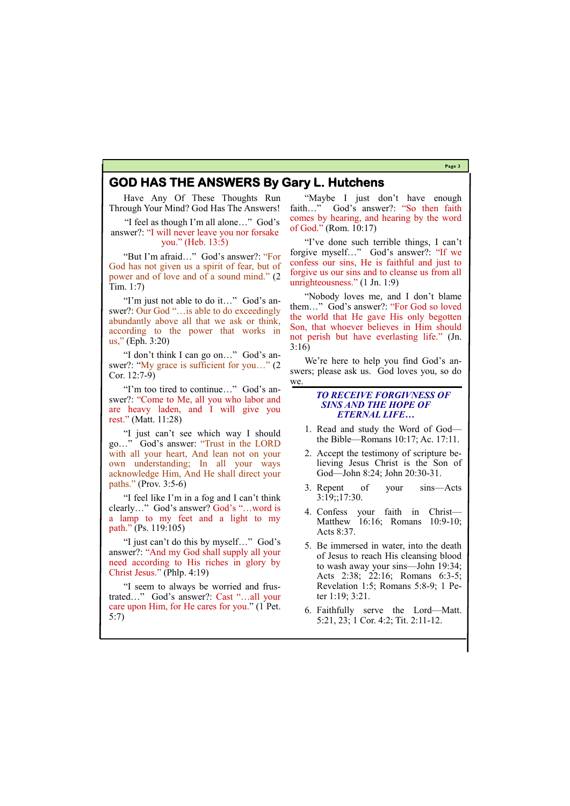#### **Page 3**

# **GOD HAS THE ANSWERS By Gary L. Hutchens**

Have Any Of These Thoughts Run Through Your Mind? God Has The Answers!

"I feel as though I'm all alone…" God's answer?: "I will never leave you nor forsake you." (Heb. 13:5)

"But I'm afraid…" God's answer?: "For God has not given us a spirit of fear, but of power and of love and of a sound mind." (2 Tim. 1:7)

"I'm just not able to do it…" God's answer?: Our God "... is able to do exceedingly abundantly above all that we ask or think, according to the power that works in us," (Eph. 3:20)

"I don't think I can go on…" God's answer?: "My grace is sufficient for you..." (2) Cor. 12:7-9)

"I'm too tired to continue…" God's answer?: "Come to Me, all you who labor and are heavy laden, and I will give you rest." (Matt. 11:28)

"I just can't see which way I should go…" God's answer: "Trust in the LORD with all your heart, And lean not on your own understanding; In all your ways acknowledge Him, And He shall direct your paths." (Prov. 3:5-6)

We're here to help you find God's answers; please ask us. God loves you, so do we.

"I feel like I'm in a fog and I can't think clearly…" God's answer? God's "…word is a lamp to my feet and a light to my path." (Ps. 119:105)

"I just can't do this by myself…" God's answer?: "And my God shall supply all your need according to His riches in glory by Christ Jesus." (Phlp. 4:19)

"Maybe I just don't have enough faith…" God's answer?: "So then faith comes by hearing, and hearing by the word of God." (Rom. 10:17)

"I've done such terrible things, I can't forgive myself…" God's answer?: "If we confess our sins, He is faithful and just to forgive us our sins and to cleanse us from all unrighteousness." (1 Jn. 1:9)

"Nobody loves me, and I don't blame them…" God's answer?: "For God so loved the world that He gave His only begotten Son, that whoever believes in Him should not perish but have everlasting life." (Jn. 3:16)

"I seem to always be worried and frustrated…" God's answer?: Cast "…all your care upon Him, for He cares for you." (1 Pet. 5:7) ter 1:19; 3:21. 6. Faithfully serve the Lord—Matt. 5:21, 23; 1 Cor. 4:2; Tit. 2:11-12.

### *TO RECEIVE FORGIVNESS OF SINS AND THE HOPE OF ETERNAL LIFE…*

- 1. Read and study the Word of God the Bible—Romans 10:17; Ac. 17:11.
- 2. Accept the testimony of scripture believing Jesus Christ is the Son of God—John 8:24; John 20:30-31.
- 3. Repent of your sins—Acts 3:19;;17:30.
- 4. Confess your faith in Christ— Matthew 16:16; Romans 10:9-10; Acts 8:37.
- 5. Be immersed in water, into the death of Jesus to reach His cleansing blood to wash away your sins—John 19:34; Acts 2:38; 22:16; Romans 6:3-5; Revelation 1:5; Romans 5:8-9; 1 Pe-
-